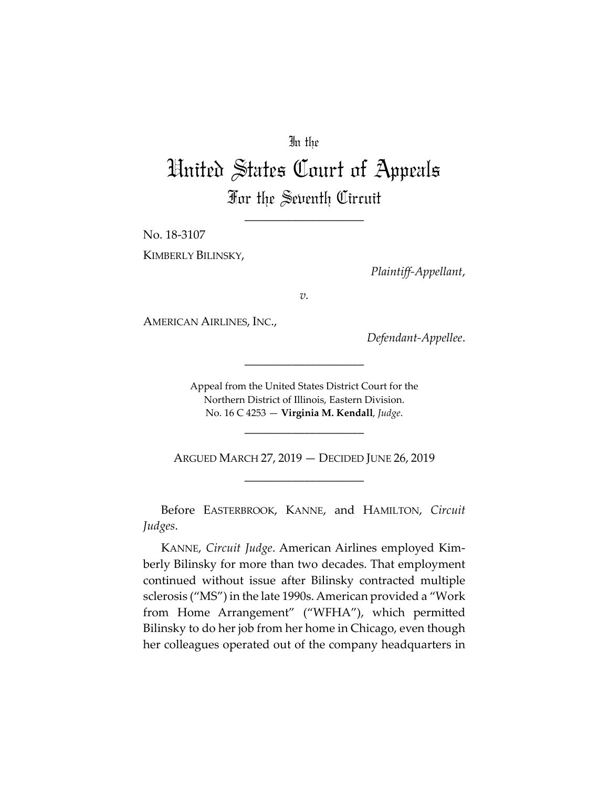# In the

# United States Court of Appeals For the Seventh Circuit

\_\_\_\_\_\_\_\_\_\_\_\_\_\_\_\_\_\_\_\_

No. 18‐3107

KIMBERLY BILINSKY,

*Plaintiff‐Appellant*,

*v.*

AMERICAN AIRLINES, INC.,

*Defendant‐Appellee*.

Appeal from the United States District Court for the Northern District of Illinois, Eastern Division. No. 16 C 4253 — **Virginia M. Kendall**, *Judge*.

\_\_\_\_\_\_\_\_\_\_\_\_\_\_\_\_\_\_\_\_

\_\_\_\_\_\_\_\_\_\_\_\_\_\_\_\_\_\_\_\_

ARGUED MARCH 27, 2019 — DECIDED JUNE 26, 2019 \_\_\_\_\_\_\_\_\_\_\_\_\_\_\_\_\_\_\_\_

Before EASTERBROOK, KANNE, and HAMILTON, *Circuit Judges*.

KANNE, *Circuit Judge*. American Airlines employed Kim‐ berly Bilinsky for more than two decades. That employment continued without issue after Bilinsky contracted multiple sclerosis ("MS") in the late 1990s. American provided a "Work from Home Arrangement" ("WFHA"), which permitted Bilinsky to do her job from her home in Chicago, even though her colleagues operated out of the company headquarters in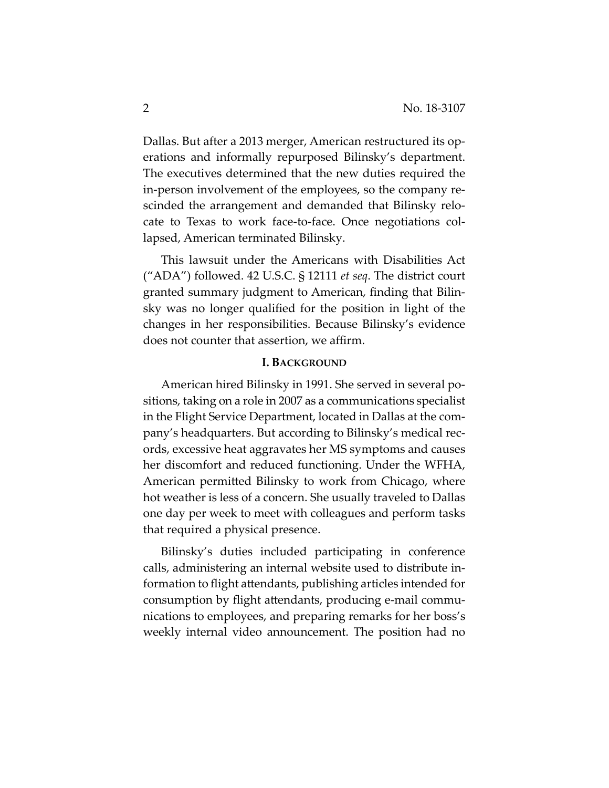Dallas. But after a 2013 merger, American restructured its op‐ erations and informally repurposed Bilinsky's department. The executives determined that the new duties required the in-person involvement of the employees, so the company rescinded the arrangement and demanded that Bilinsky relo‐ cate to Texas to work face‐to‐face. Once negotiations col‐ lapsed, American terminated Bilinsky.

This lawsuit under the Americans with Disabilities Act ("ADA") followed. 42 U.S.C. § 12111 *et seq*. The district court granted summary judgment to American, finding that Bilin‐ sky was no longer qualified for the position in light of the changes in her responsibilities. Because Bilinsky's evidence does not counter that assertion, we affirm.

### **I. BACKGROUND**

American hired Bilinsky in 1991. She served in several po‐ sitions, taking on a role in 2007 as a communications specialist in the Flight Service Department, located in Dallas at the com‐ pany's headquarters. But according to Bilinsky's medical rec‐ ords, excessive heat aggravates her MS symptoms and causes her discomfort and reduced functioning. Under the WFHA, American permitted Bilinsky to work from Chicago, where hot weather is less of a concern. She usually traveled to Dallas one day per week to meet with colleagues and perform tasks that required a physical presence.

Bilinsky's duties included participating in conference calls, administering an internal website used to distribute in‐ formation to flight attendants, publishing articles intended for consumption by flight attendants, producing e‐mail commu‐ nications to employees, and preparing remarks for her boss's weekly internal video announcement. The position had no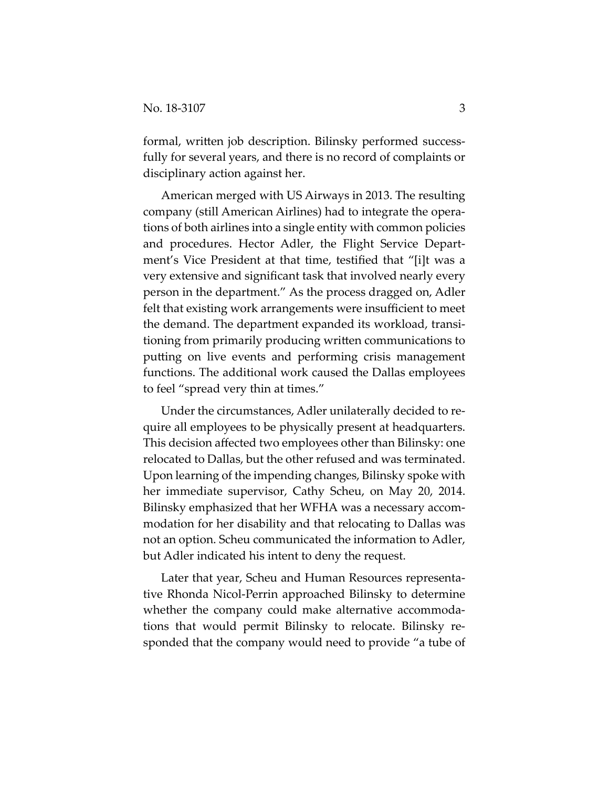formal, written job description. Bilinsky performed successfully for several years, and there is no record of complaints or disciplinary action against her.

American merged with US Airways in 2013. The resulting company (still American Airlines) had to integrate the opera‐ tions of both airlines into a single entity with common policies and procedures. Hector Adler, the Flight Service Depart‐ ment's Vice President at that time, testified that "[i]t was a very extensive and significant task that involved nearly every person in the department." As the process dragged on, Adler felt that existing work arrangements were insufficient to meet the demand. The department expanded its workload, transi‐ tioning from primarily producing written communications to putting on live events and performing crisis management functions. The additional work caused the Dallas employees to feel "spread very thin at times."

Under the circumstances, Adler unilaterally decided to re‐ quire all employees to be physically present at headquarters. This decision affected two employees other than Bilinsky: one relocated to Dallas, but the other refused and was terminated. Upon learning of the impending changes, Bilinsky spoke with her immediate supervisor, Cathy Scheu, on May 20, 2014. Bilinsky emphasized that her WFHA was a necessary accom‐ modation for her disability and that relocating to Dallas was not an option. Scheu communicated the information to Adler, but Adler indicated his intent to deny the request.

Later that year, Scheu and Human Resources representa‐ tive Rhonda Nicol‐Perrin approached Bilinsky to determine whether the company could make alternative accommodations that would permit Bilinsky to relocate. Bilinsky re‐ sponded that the company would need to provide "a tube of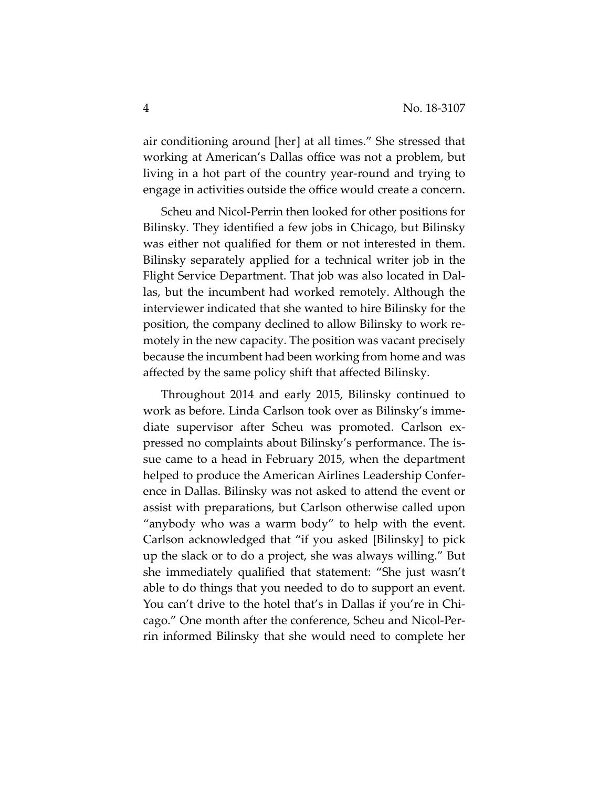air conditioning around [her] at all times." She stressed that working at American's Dallas office was not a problem, but living in a hot part of the country year‐round and trying to engage in activities outside the office would create a concern.

Scheu and Nicol‐Perrin then looked for other positions for Bilinsky. They identified a few jobs in Chicago, but Bilinsky was either not qualified for them or not interested in them. Bilinsky separately applied for a technical writer job in the Flight Service Department. That job was also located in Dal‐ las, but the incumbent had worked remotely. Although the interviewer indicated that she wanted to hire Bilinsky for the position, the company declined to allow Bilinsky to work re‐ motely in the new capacity. The position was vacant precisely because the incumbent had been working from home and was affected by the same policy shift that affected Bilinsky.

Throughout 2014 and early 2015, Bilinsky continued to work as before. Linda Carlson took over as Bilinsky's imme‐ diate supervisor after Scheu was promoted. Carlson ex‐ pressed no complaints about Bilinsky's performance. The is‐ sue came to a head in February 2015, when the department helped to produce the American Airlines Leadership Confer‐ ence in Dallas. Bilinsky was not asked to attend the event or assist with preparations, but Carlson otherwise called upon "anybody who was a warm body" to help with the event. Carlson acknowledged that "if you asked [Bilinsky] to pick up the slack or to do a project, she was always willing." But she immediately qualified that statement: "She just wasn't able to do things that you needed to do to support an event. You can't drive to the hotel that's in Dallas if you're in Chi‐ cago." One month after the conference, Scheu and Nicol‐Per‐ rin informed Bilinsky that she would need to complete her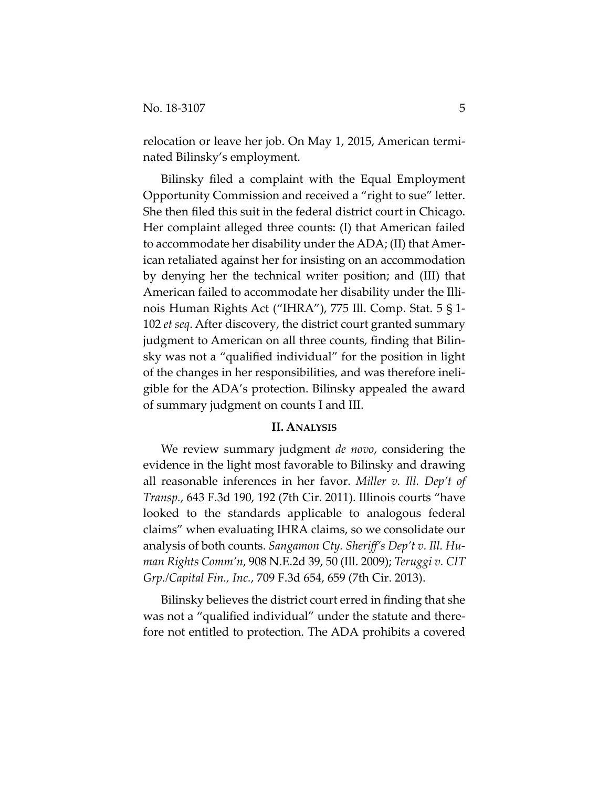relocation or leave her job. On May 1, 2015, American termi‐ nated Bilinsky's employment.

Bilinsky filed a complaint with the Equal Employment Opportunity Commission and received a "right to sue" letter. She then filed this suit in the federal district court in Chicago. Her complaint alleged three counts: (I) that American failed to accommodate her disability under the ADA; (II) that Amer‐ ican retaliated against her for insisting on an accommodation by denying her the technical writer position; and (III) that American failed to accommodate her disability under the Illi‐ nois Human Rights Act ("IHRA"), 775 Ill. Comp. Stat. 5 § 1‐ 102 *et seq*. After discovery, the district court granted summary judgment to American on all three counts, finding that Bilin‐ sky was not a "qualified individual" for the position in light of the changes in her responsibilities, and was therefore ineli‐ gible for the ADA's protection. Bilinsky appealed the award of summary judgment on counts I and III.

## **II. ANALYSIS**

We review summary judgment *de novo*, considering the evidence in the light most favorable to Bilinsky and drawing all reasonable inferences in her favor. *Miller v. Ill. Dep't of Transp.*, 643 F.3d 190, 192 (7th Cir. 2011). Illinois courts "have looked to the standards applicable to analogous federal claims" when evaluating IHRA claims, so we consolidate our analysis of both counts. *Sangamon Cty. Sheriff's Dep't v. Ill. Hu‐ man Rights Comm'n*, 908 N.E.2d 39, 50 (Ill. 2009); *Teruggi v. CIT Grp./Capital Fin., Inc.*, 709 F.3d 654, 659 (7th Cir. 2013).

Bilinsky believes the district court erred in finding that she was not a "qualified individual" under the statute and therefore not entitled to protection. The ADA prohibits a covered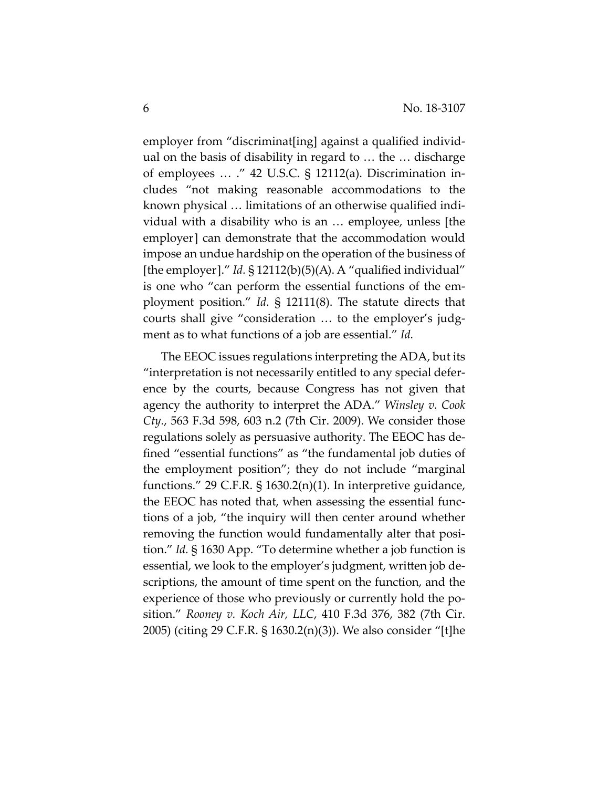employer from "discriminat[ing] against a qualified individ‐ ual on the basis of disability in regard to … the … discharge of employees … ." 42 U.S.C. § 12112(a). Discrimination in‐ cludes "not making reasonable accommodations to the known physical … limitations of an otherwise qualified indi‐ vidual with a disability who is an … employee, unless [the employer] can demonstrate that the accommodation would impose an undue hardship on the operation of the business of [the employer]." *Id.* § 12112(b)(5)(A). A "qualified individual" is one who "can perform the essential functions of the em‐ ployment position." *Id.* § 12111(8). The statute directs that courts shall give "consideration ... to the employer's judgment as to what functions of a job are essential." *Id.*

The EEOC issues regulations interpreting the ADA, but its "interpretation is not necessarily entitled to any special defer‐ ence by the courts, because Congress has not given that agency the authority to interpret the ADA." *Winsley v. Cook Cty.*, 563 F.3d 598, 603 n.2 (7th Cir. 2009). We consider those regulations solely as persuasive authority. The EEOC has de‐ fined "essential functions" as "the fundamental job duties of the employment position"; they do not include "marginal functions." 29 C.F.R. § 1630.2(n)(1). In interpretive guidance, the EEOC has noted that, when assessing the essential func‐ tions of a job, "the inquiry will then center around whether removing the function would fundamentally alter that position." *Id.* § 1630 App. "To determine whether a job function is essential, we look to the employer's judgment, written job de‐ scriptions, the amount of time spent on the function, and the experience of those who previously or currently hold the position." *Rooney v. Koch Air, LLC*, 410 F.3d 376, 382 (7th Cir. 2005) (citing 29 C.F.R. § 1630.2(n)(3)). We also consider "[t]he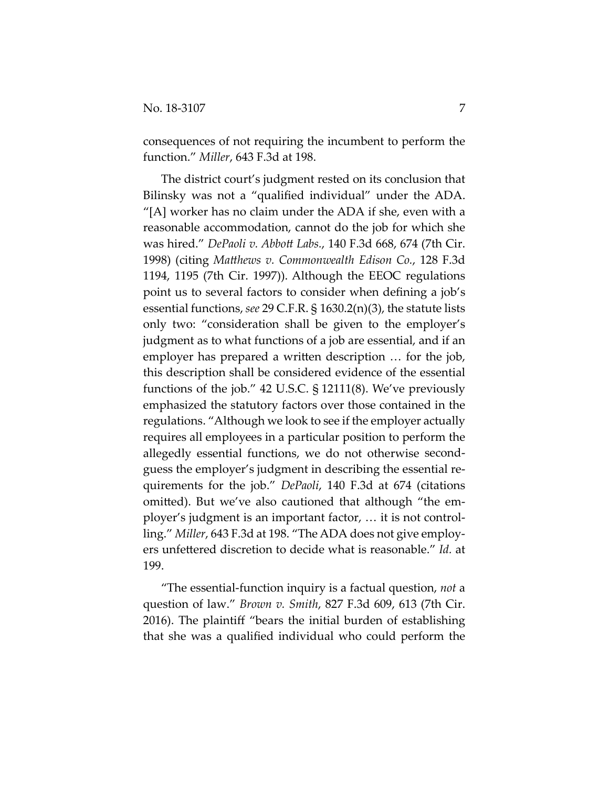consequences of not requiring the incumbent to perform the function." *Miller*, 643 F.3d at 198.

The district court's judgment rested on its conclusion that Bilinsky was not a "qualified individual" under the ADA. "[A] worker has no claim under the ADA if she, even with a reasonable accommodation, cannot do the job for which she was hired." *DePaoli v. Abbott Labs.*, 140 F.3d 668, 674 (7th Cir. 1998) (citing *Matthews v. Commonwealth Edison Co.*, 128 F.3d 1194, 1195 (7th Cir. 1997)). Although the EEOC regulations point us to several factors to consider when defining a job's essential functions, *see* 29 C.F.R. § 1630.2(n)(3), the statute lists only two: "consideration shall be given to the employer's judgment as to what functions of a job are essential, and if an employer has prepared a written description … for the job, this description shall be considered evidence of the essential functions of the job." 42 U.S.C. § 12111(8). We've previously emphasized the statutory factors over those contained in the regulations. "Although we look to see if the employer actually requires all employees in a particular position to perform the allegedly essential functions, we do not otherwise second‐ guess the employer's judgment in describing the essential re‐ quirements for the job." *DePaoli*, 140 F.3d at 674 (citations omitted). But we've also cautioned that although "the em‐ ployer's judgment is an important factor, … it is not control‐ ling." *Miller*, 643 F.3d at 198. "The ADA does not give employ‐ ers unfettered discretion to decide what is reasonable." *Id.* at 199.

"The essential‐function inquiry is a factual question, *not* a question of law." *Brown v. Smith*, 827 F.3d 609, 613 (7th Cir. 2016). The plaintiff "bears the initial burden of establishing that she was a qualified individual who could perform the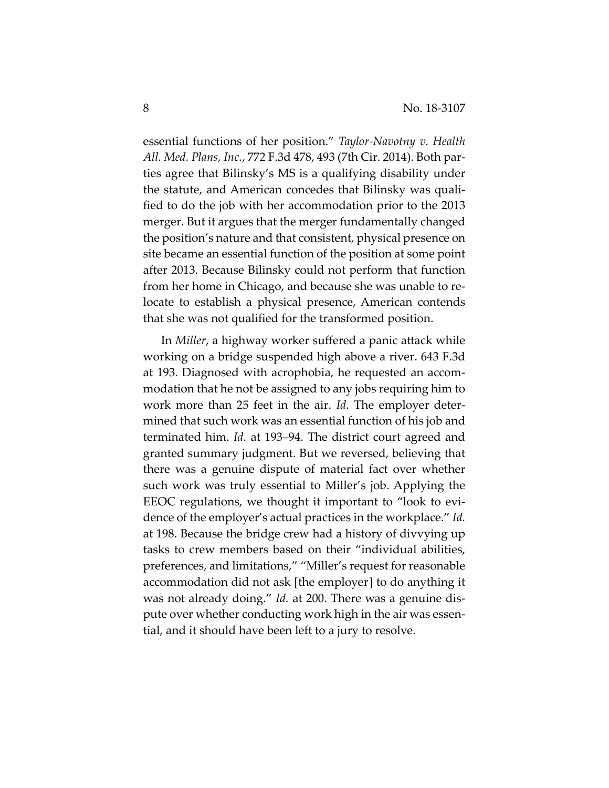essential functions of her position." *Taylor‐Navotny v. Health All. Med. Plans, Inc.*, 772 F.3d 478, 493 (7th Cir. 2014). Both par‐ ties agree that Bilinsky's MS is a qualifying disability under the statute, and American concedes that Bilinsky was quali‐ fied to do the job with her accommodation prior to the 2013 merger. But it argues that the merger fundamentally changed the position's nature and that consistent, physical presence on site became an essential function of the position at some point after 2013. Because Bilinsky could not perform that function from her home in Chicago, and because she was unable to re‐ locate to establish a physical presence, American contends that she was not qualified for the transformed position.

In *Miller*, a highway worker suffered a panic attack while working on a bridge suspended high above a river. 643 F.3d at 193. Diagnosed with acrophobia, he requested an accom‐ modation that he not be assigned to any jobs requiring him to work more than 25 feet in the air. *Id.* The employer determined that such work was an essential function of his job and terminated him. *Id.* at 193–94. The district court agreed and granted summary judgment. But we reversed, believing that there was a genuine dispute of material fact over whether such work was truly essential to Miller's job. Applying the EEOC regulations, we thought it important to "look to evi‐ dence of the employer's actual practices in the workplace." *Id.* at 198. Because the bridge crew had a history of divvying up tasks to crew members based on their "individual abilities, preferences, and limitations," "Miller's request for reasonable accommodation did not ask [the employer] to do anything it was not already doing." *Id.* at 200. There was a genuine dis‐ pute over whether conducting work high in the air was essen‐ tial, and it should have been left to a jury to resolve.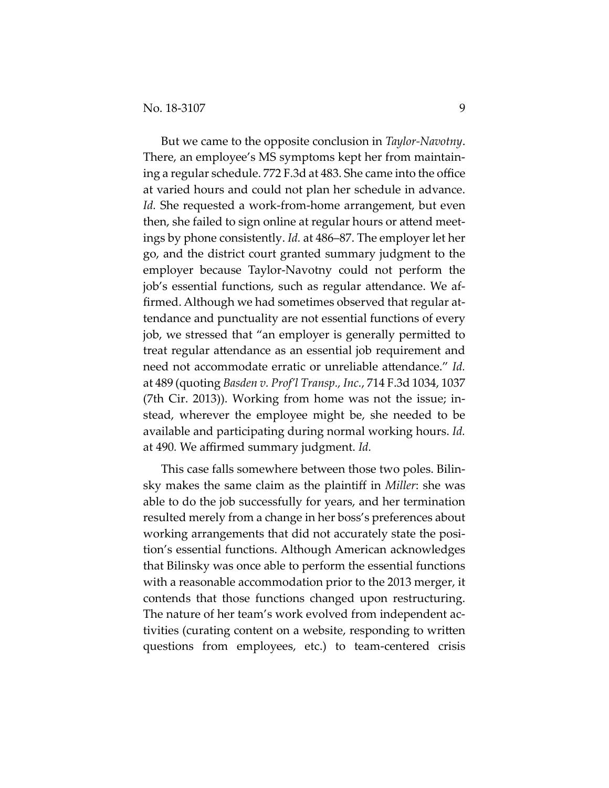But we came to the opposite conclusion in *Taylor‐Navotny*. There, an employee's MS symptoms kept her from maintain‐ ing a regular schedule. 772 F.3d at 483. She came into the office at varied hours and could not plan her schedule in advance. *Id.* She requested a work‐from‐home arrangement, but even then, she failed to sign online at regular hours or attend meet‐ ings by phone consistently. *Id.* at 486–87. The employer let her go, and the district court granted summary judgment to the employer because Taylor‐Navotny could not perform the job's essential functions, such as regular attendance. We af‐ firmed. Although we had sometimes observed that regular at‐ tendance and punctuality are not essential functions of every job, we stressed that "an employer is generally permitted to treat regular attendance as an essential job requirement and need not accommodate erratic or unreliable attendance." *Id.* at 489 (quoting *Basden v. Prof'l Transp., Inc.*, 714 F.3d 1034, 1037 (7th Cir. 2013)). Working from home was not the issue; in‐ stead, wherever the employee might be, she needed to be available and participating during normal working hours. *Id.* at 490*.* We affirmed summary judgment. *Id.*

This case falls somewhere between those two poles. Bilin‐ sky makes the same claim as the plaintiff in *Miller*: she was able to do the job successfully for years, and her termination resulted merely from a change in her boss's preferences about working arrangements that did not accurately state the position's essential functions. Although American acknowledges that Bilinsky was once able to perform the essential functions with a reasonable accommodation prior to the 2013 merger, it contends that those functions changed upon restructuring. The nature of her team's work evolved from independent activities (curating content on a website, responding to written questions from employees, etc.) to team‐centered crisis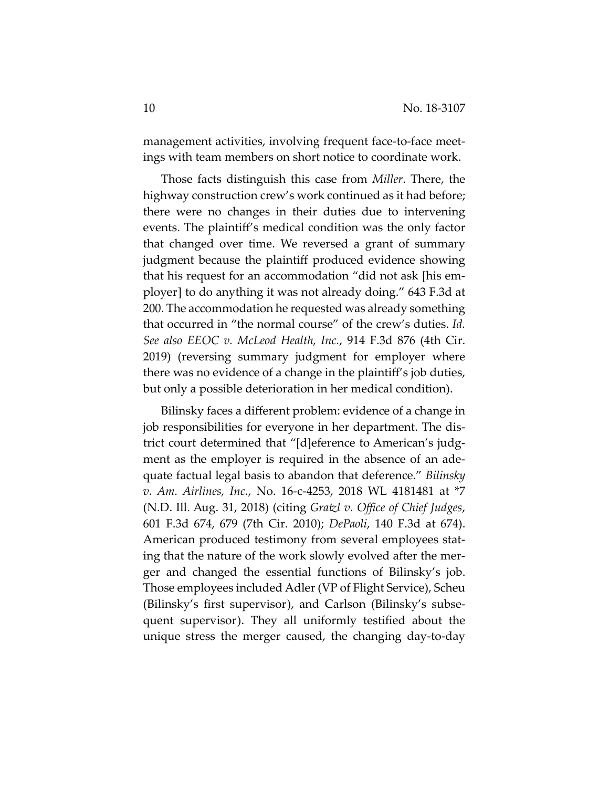management activities, involving frequent face-to-face meetings with team members on short notice to coordinate work.

Those facts distinguish this case from *Miller*. There, the highway construction crew's work continued as it had before; there were no changes in their duties due to intervening events. The plaintiff's medical condition was the only factor that changed over time. We reversed a grant of summary judgment because the plaintiff produced evidence showing that his request for an accommodation "did not ask [his em‐ ployer] to do anything it was not already doing." 643 F.3d at 200. The accommodation he requested was already something that occurred in "the normal course" of the crew's duties. *Id. See also EEOC v. McLeod Health, Inc.*, 914 F.3d 876 (4th Cir. 2019) (reversing summary judgment for employer where there was no evidence of a change in the plaintiff's job duties, but only a possible deterioration in her medical condition).

Bilinsky faces a different problem: evidence of a change in job responsibilities for everyone in her department. The dis‐ trict court determined that "[d]eference to American's judg‐ ment as the employer is required in the absence of an adequate factual legal basis to abandon that deference." *Bilinsky v. Am. Airlines, Inc.*, No. 16‐c‐4253, 2018 WL 4181481 at \*7 (N.D. Ill. Aug. 31, 2018) (citing *Gratzl v. Office of Chief Judges*, 601 F.3d 674, 679 (7th Cir. 2010); *DePaoli*, 140 F.3d at 674). American produced testimony from several employees stat‐ ing that the nature of the work slowly evolved after the mer‐ ger and changed the essential functions of Bilinsky's job. Those employees included Adler (VP of Flight Service), Scheu (Bilinsky's first supervisor), and Carlson (Bilinsky's subse‐ quent supervisor). They all uniformly testified about the unique stress the merger caused, the changing day‐to‐day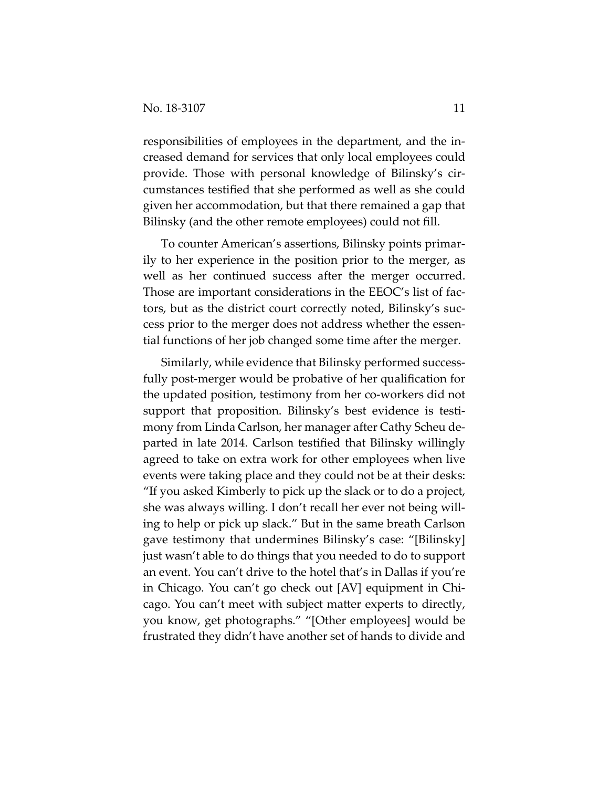responsibilities of employees in the department, and the in‐ creased demand for services that only local employees could provide. Those with personal knowledge of Bilinsky's cir‐ cumstances testified that she performed as well as she could given her accommodation, but that there remained a gap that Bilinsky (and the other remote employees) could not fill.

To counter American's assertions, Bilinsky points primar‐ ily to her experience in the position prior to the merger, as well as her continued success after the merger occurred. Those are important considerations in the EEOC's list of fac‐ tors, but as the district court correctly noted, Bilinsky's suc‐ cess prior to the merger does not address whether the essen‐ tial functions of her job changed some time after the merger.

Similarly, while evidence that Bilinsky performed success‐ fully post‐merger would be probative of her qualification for the updated position, testimony from her co‐workers did not support that proposition. Bilinsky's best evidence is testi‐ mony from Linda Carlson, her manager after Cathy Scheu de‐ parted in late 2014. Carlson testified that Bilinsky willingly agreed to take on extra work for other employees when live events were taking place and they could not be at their desks: "If you asked Kimberly to pick up the slack or to do a project, she was always willing. I don't recall her ever not being willing to help or pick up slack." But in the same breath Carlson gave testimony that undermines Bilinsky's case: "[Bilinsky] just wasn't able to do things that you needed to do to support an event. You can't drive to the hotel that's in Dallas if you're in Chicago. You can't go check out [AV] equipment in Chi‐ cago. You can't meet with subject matter experts to directly, you know, get photographs." "[Other employees] would be frustrated they didn't have another set of hands to divide and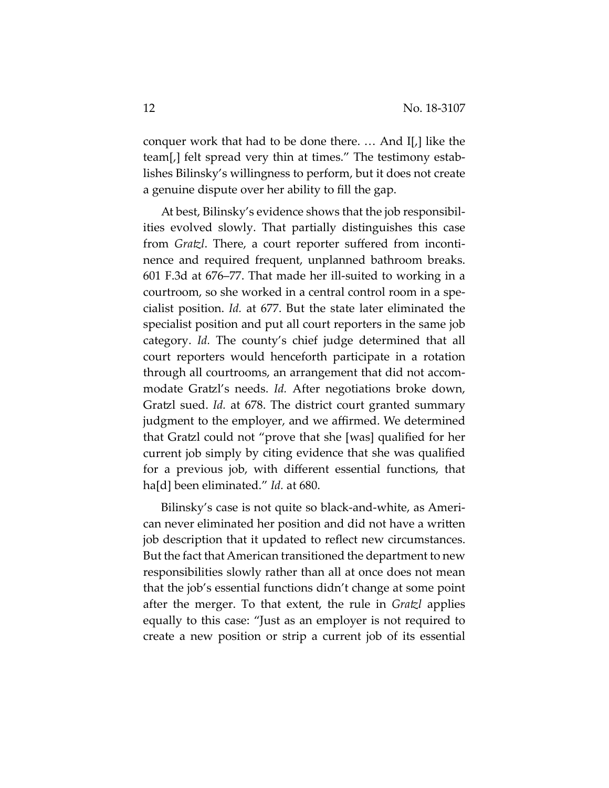conquer work that had to be done there. … And I[,] like the team[,] felt spread very thin at times." The testimony estab‐ lishes Bilinsky's willingness to perform, but it does not create a genuine dispute over her ability to fill the gap.

At best, Bilinsky's evidence shows that the job responsibil‐ ities evolved slowly. That partially distinguishes this case from *Gratzl*. There, a court reporter suffered from incontinence and required frequent, unplanned bathroom breaks. 601 F.3d at 676–77. That made her ill‐suited to working in a courtroom, so she worked in a central control room in a spe‐ cialist position. *Id.* at 677. But the state later eliminated the specialist position and put all court reporters in the same job category. *Id.* The county's chief judge determined that all court reporters would henceforth participate in a rotation through all courtrooms, an arrangement that did not accom‐ modate Gratzl's needs. *Id.* After negotiations broke down, Gratzl sued. *Id.* at 678. The district court granted summary judgment to the employer, and we affirmed. We determined that Gratzl could not "prove that she [was] qualified for her current job simply by citing evidence that she was qualified for a previous job, with different essential functions, that ha[d] been eliminated." *Id.* at 680.

Bilinsky's case is not quite so black‐and‐white, as Ameri‐ can never eliminated her position and did not have a written job description that it updated to reflect new circumstances. But the fact that American transitioned the department to new responsibilities slowly rather than all at once does not mean that the job's essential functions didn't change at some point after the merger. To that extent, the rule in *Gratzl* applies equally to this case: "Just as an employer is not required to create a new position or strip a current job of its essential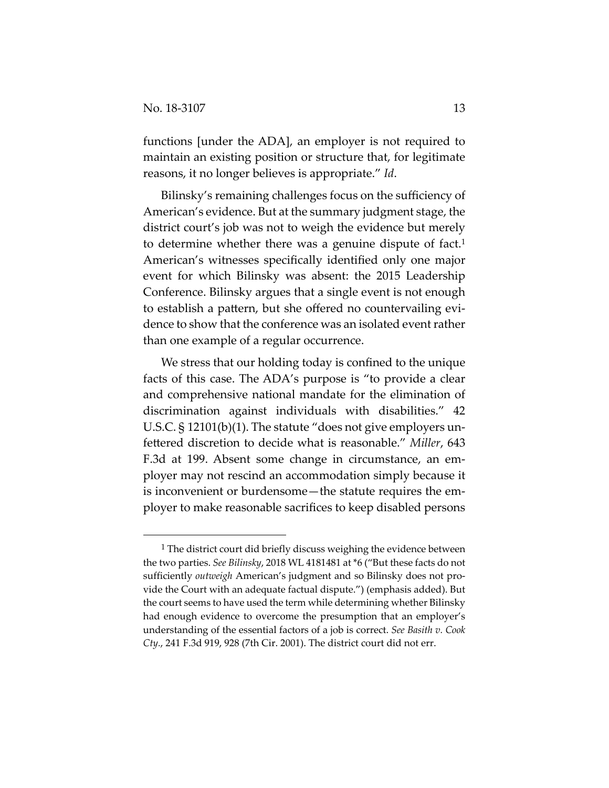functions [under the ADA], an employer is not required to maintain an existing position or structure that, for legitimate reasons, it no longer believes is appropriate." *Id*.

Bilinsky's remaining challenges focus on the sufficiency of American's evidence. But at the summary judgment stage, the district court's job was not to weigh the evidence but merely to determine whether there was a genuine dispute of fact.1 American's witnesses specifically identified only one major event for which Bilinsky was absent: the 2015 Leadership Conference. Bilinsky argues that a single event is not enough to establish a pattern, but she offered no countervailing evi‐ dence to show that the conference was an isolated event rather than one example of a regular occurrence.

We stress that our holding today is confined to the unique facts of this case. The ADA's purpose is "to provide a clear and comprehensive national mandate for the elimination of discrimination against individuals with disabilities." 42 U.S.C. § 12101(b)(1). The statute "does not give employers unfettered discretion to decide what is reasonable." *Miller*, 643 F.3d at 199. Absent some change in circumstance, an em‐ ployer may not rescind an accommodation simply because it is inconvenient or burdensome—the statute requires the employer to make reasonable sacrifices to keep disabled persons

 $1$  The district court did briefly discuss weighing the evidence between the two parties. *See Bilinsky*, 2018 WL 4181481 at \*6 ("But these facts do not sufficiently *outweigh* American's judgment and so Bilinsky does not provide the Court with an adequate factual dispute.") (emphasis added). But the court seems to have used the term while determining whether Bilinsky had enough evidence to overcome the presumption that an employer's understanding of the essential factors of a job is correct. *See Basith v. Cook Cty.*, 241 F.3d 919, 928 (7th Cir. 2001). The district court did not err.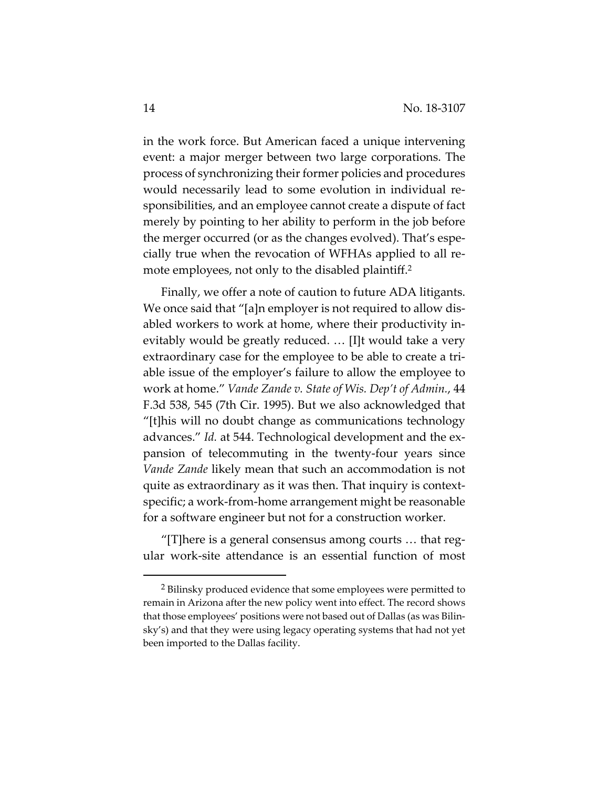in the work force. But American faced a unique intervening event: a major merger between two large corporations. The process of synchronizing their former policies and procedures would necessarily lead to some evolution in individual re‐ sponsibilities, and an employee cannot create a dispute of fact merely by pointing to her ability to perform in the job before the merger occurred (or as the changes evolved). That's espe‐ cially true when the revocation of WFHAs applied to all re‐ mote employees, not only to the disabled plaintiff.<sup>2</sup>

Finally, we offer a note of caution to future ADA litigants. We once said that "[a]n employer is not required to allow disabled workers to work at home, where their productivity in‐ evitably would be greatly reduced. … [I]t would take a very extraordinary case for the employee to be able to create a tri‐ able issue of the employer's failure to allow the employee to work at home." *Vande Zande v. State of Wis. Dep't of Admin.*, 44 F.3d 538, 545 (7th Cir. 1995). But we also acknowledged that "[t]his will no doubt change as communications technology advances." *Id.* at 544. Technological development and the ex‐ pansion of telecommuting in the twenty‐four years since *Vande Zande* likely mean that such an accommodation is not quite as extraordinary as it was then. That inquiry is contextspecific; a work‐from‐home arrangement might be reasonable for a software engineer but not for a construction worker.

"[T]here is a general consensus among courts … that reg‐ ular work‐site attendance is an essential function of most

<sup>2</sup> Bilinsky produced evidence that some employees were permitted to remain in Arizona after the new policy went into effect. The record shows that those employees' positions were not based out of Dallas (as was Bilin‐ sky's) and that they were using legacy operating systems that had not yet been imported to the Dallas facility.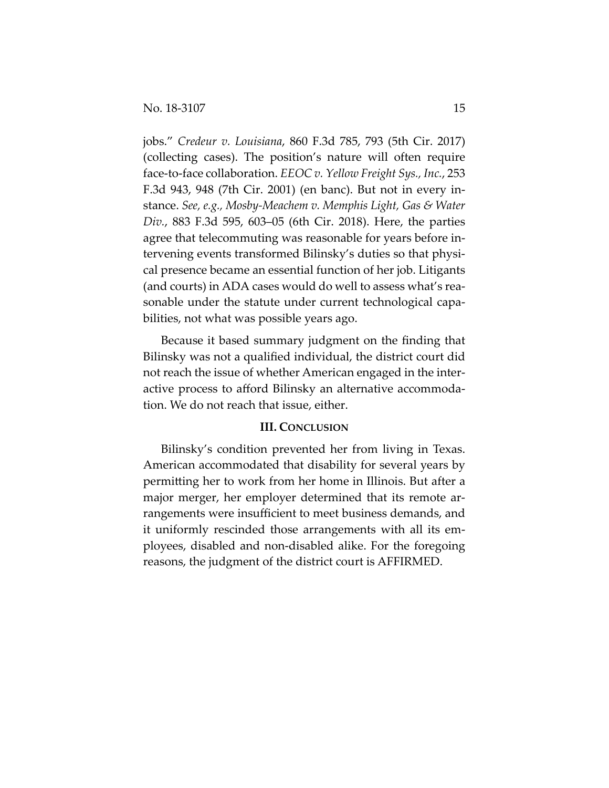jobs." *Credeur v. Louisiana*, 860 F.3d 785, 793 (5th Cir. 2017) (collecting cases). The position's nature will often require face‐to‐face collaboration. *EEOC v. Yellow Freight Sys., Inc.*, 253 F.3d 943, 948 (7th Cir. 2001) (en banc). But not in every in‐ stance. *See, e.g., Mosby‐Meachem v. Memphis Light, Gas & Water Div.*, 883 F.3d 595, 603–05 (6th Cir. 2018). Here, the parties agree that telecommuting was reasonable for years before in‐ tervening events transformed Bilinsky's duties so that physi‐ cal presence became an essential function of her job. Litigants (and courts) in ADA cases would do well to assess what's rea‐ sonable under the statute under current technological capabilities, not what was possible years ago.

Because it based summary judgment on the finding that Bilinsky was not a qualified individual, the district court did not reach the issue of whether American engaged in the inter‐ active process to afford Bilinsky an alternative accommoda‐ tion. We do not reach that issue, either.

## **III. CONCLUSION**

Bilinsky's condition prevented her from living in Texas. American accommodated that disability for several years by permitting her to work from her home in Illinois. But after a major merger, her employer determined that its remote arrangements were insufficient to meet business demands, and it uniformly rescinded those arrangements with all its em‐ ployees, disabled and non‐disabled alike. For the foregoing reasons, the judgment of the district court is AFFIRMED.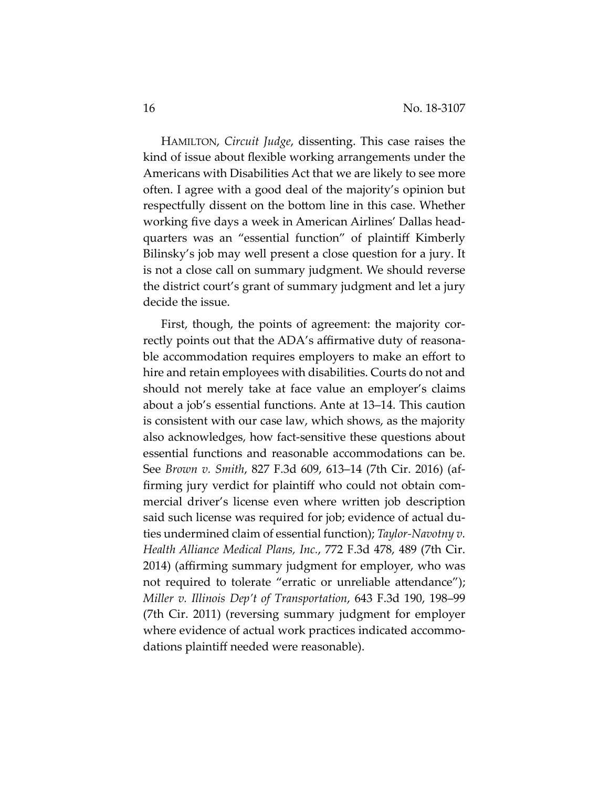HAMILTON, *Circuit Judge*, dissenting. This case raises the kind of issue about flexible working arrangements under the Americans with Disabilities Act that we are likely to see more often. I agree with a good deal of the majority's opinion but respectfully dissent on the bottom line in this case. Whether working five days a week in American Airlines' Dallas head‐ quarters was an "essential function" of plaintiff Kimberly Bilinsky's job may well present a close question for a jury. It is not a close call on summary judgment. We should reverse the district court's grant of summary judgment and let a jury decide the issue.

First, though, the points of agreement: the majority correctly points out that the ADA's affirmative duty of reasona‐ ble accommodation requires employers to make an effort to hire and retain employees with disabilities. Courts do not and should not merely take at face value an employer's claims about a job's essential functions. Ante at 13–14. This caution is consistent with our case law, which shows, as the majority also acknowledges, how fact‐sensitive these questions about essential functions and reasonable accommodations can be. See *Brown v. Smith*, 827 F.3d 609, 613–14 (7th Cir. 2016) (af‐ firming jury verdict for plaintiff who could not obtain com‐ mercial driver's license even where written job description said such license was required for job; evidence of actual duties undermined claim of essential function); *Taylor‐Navotny v. Health Alliance Medical Plans, Inc.*, 772 F.3d 478, 489 (7th Cir. 2014) (affirming summary judgment for employer, who was not required to tolerate "erratic or unreliable attendance"); *Miller v. Illinois Dep't of Transportation*, 643 F.3d 190, 198–99 (7th Cir. 2011) (reversing summary judgment for employer where evidence of actual work practices indicated accommodations plaintiff needed were reasonable).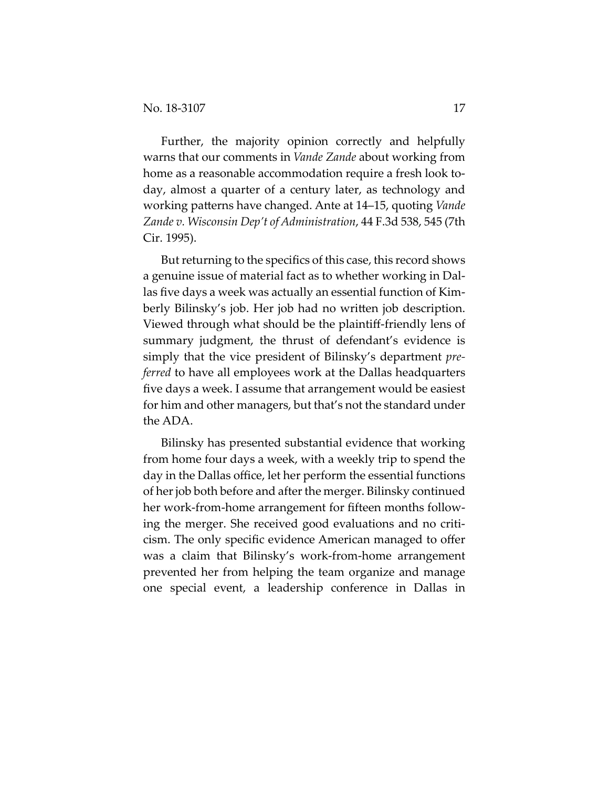Further, the majority opinion correctly and helpfully warns that our comments in *Vande Zande* about working from home as a reasonable accommodation require a fresh look today, almost a quarter of a century later, as technology and working patterns have changed. Ante at 14–15, quoting *Vande Zande v. Wisconsin Dep't of Administration*, 44 F.3d 538, 545 (7th Cir. 1995).

But returning to the specifics of this case, this record shows a genuine issue of material fact as to whether working in Dal‐ las five days a week was actually an essential function of Kim‐ berly Bilinsky's job. Her job had no written job description. Viewed through what should be the plaintiff‐friendly lens of summary judgment, the thrust of defendant's evidence is simply that the vice president of Bilinsky's department *pre‐ ferred* to have all employees work at the Dallas headquarters five days a week. I assume that arrangement would be easiest for him and other managers, but that's not the standard under the ADA.

Bilinsky has presented substantial evidence that working from home four days a week, with a weekly trip to spend the day in the Dallas office, let her perform the essential functions of her job both before and after the merger. Bilinsky continued her work-from-home arrangement for fifteen months following the merger. She received good evaluations and no criti‐ cism. The only specific evidence American managed to offer was a claim that Bilinsky's work-from-home arrangement prevented her from helping the team organize and manage one special event, a leadership conference in Dallas in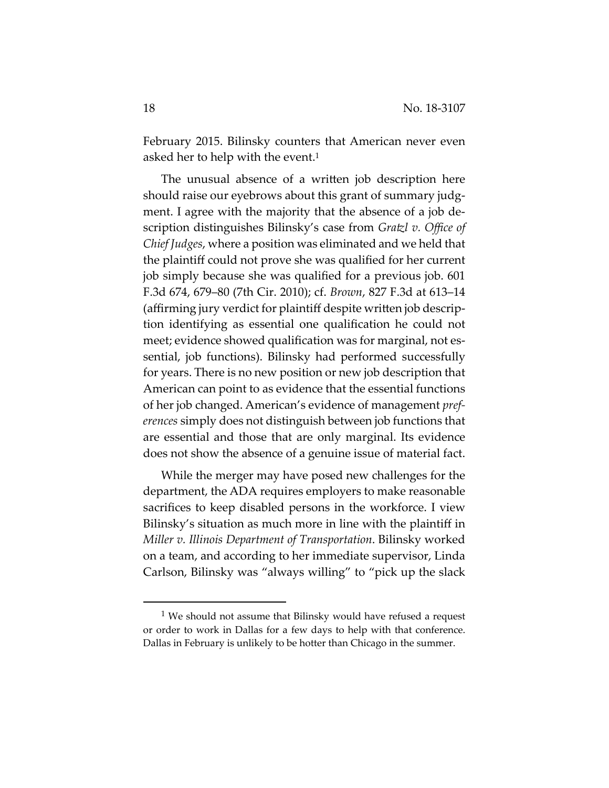February 2015. Bilinsky counters that American never even asked her to help with the event.<sup>1</sup>

The unusual absence of a written job description here should raise our eyebrows about this grant of summary judgment. I agree with the majority that the absence of a job de‐ scription distinguishes Bilinsky's case from *Gratzl v. Office of Chief Judges*, where a position was eliminated and we held that the plaintiff could not prove she was qualified for her current job simply because she was qualified for a previous job. 601 F.3d 674, 679–80 (7th Cir. 2010); cf. *Brown*, 827 F.3d at 613–14 (affirming jury verdict for plaintiff despite written job descrip‐ tion identifying as essential one qualification he could not meet; evidence showed qualification was for marginal, not essential, job functions). Bilinsky had performed successfully for years. There is no new position or new job description that American can point to as evidence that the essential functions of her job changed. American's evidence of management *pref‐ erences* simply does not distinguish between job functions that are essential and those that are only marginal. Its evidence does not show the absence of a genuine issue of material fact.

While the merger may have posed new challenges for the department, the ADA requires employers to make reasonable sacrifices to keep disabled persons in the workforce. I view Bilinsky's situation as much more in line with the plaintiff in *Miller v. Illinois Department of Transportation*. Bilinsky worked on a team, and according to her immediate supervisor, Linda Carlson, Bilinsky was "always willing" to "pick up the slack

<sup>1</sup> We should not assume that Bilinsky would have refused a request or order to work in Dallas for a few days to help with that conference. Dallas in February is unlikely to be hotter than Chicago in the summer.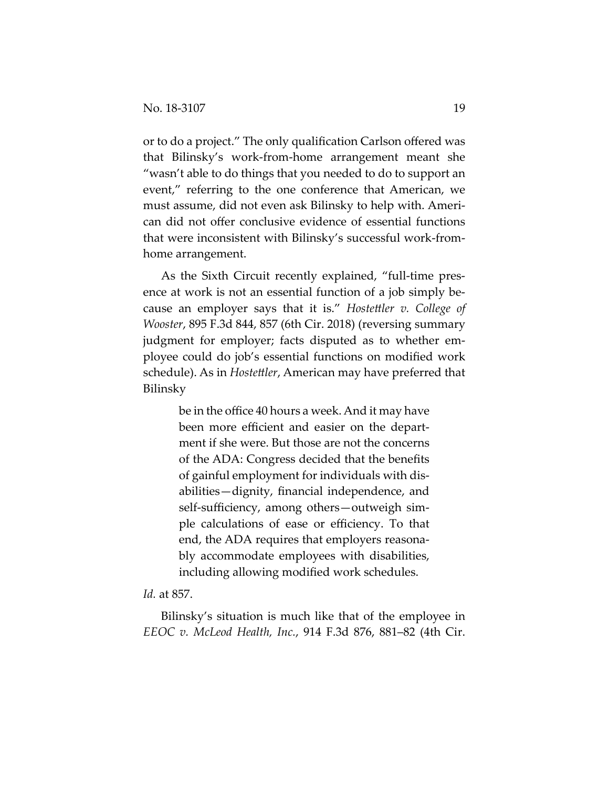or to do a project." The only qualification Carlson offered was that Bilinsky's work‐from‐home arrangement meant she "wasn't able to do things that you needed to do to support an event," referring to the one conference that American, we must assume, did not even ask Bilinsky to help with. Ameri‐ can did not offer conclusive evidence of essential functions that were inconsistent with Bilinsky's successful work‐from‐ home arrangement.

As the Sixth Circuit recently explained, "full-time presence at work is not an essential function of a job simply because an employer says that it is." *Hostettler v. College of Wooster*, 895 F.3d 844, 857 (6th Cir. 2018) (reversing summary judgment for employer; facts disputed as to whether em‐ ployee could do job's essential functions on modified work schedule). As in *Hostettler*, American may have preferred that Bilinsky

> be in the office 40 hours a week. And it may have been more efficient and easier on the department if she were. But those are not the concerns of the ADA: Congress decided that the benefits of gainful employment for individuals with dis‐ abilities—dignity, financial independence, and self-sufficiency, among others—outweigh simple calculations of ease or efficiency. To that end, the ADA requires that employers reasona‐ bly accommodate employees with disabilities, including allowing modified work schedules.

### *Id.* at 857.

Bilinsky's situation is much like that of the employee in *EEOC v. McLeod Health, Inc.*, 914 F.3d 876, 881–82 (4th Cir.